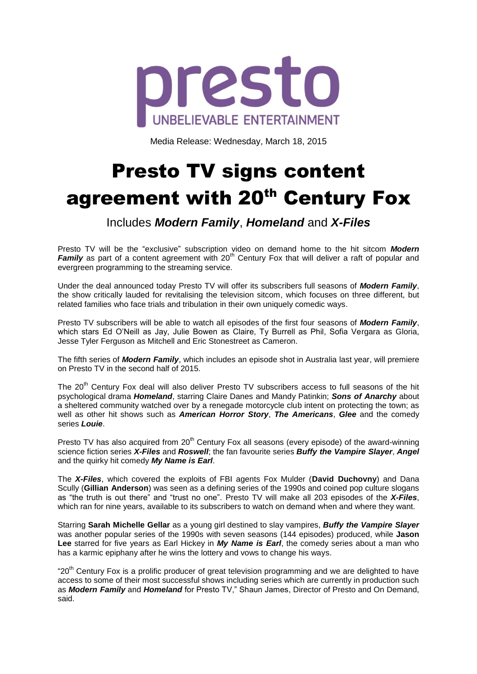

Media Release: Wednesday, March 18, 2015

## Presto TV signs content agreement with 20<sup>th</sup> Century Fox

Includes *Modern Family*, *Homeland* and *X-Files*

Presto TV will be the "exclusive" subscription video on demand home to the hit sitcom *Modern Family* as part of a content agreement with 20<sup>th</sup> Century Fox that will deliver a raft of popular and evergreen programming to the streaming service.

Under the deal announced today Presto TV will offer its subscribers full seasons of *Modern Family*, the show critically lauded for revitalising the television sitcom, which focuses on three different, but related families who face trials and tribulation in their own uniquely comedic ways.

Presto TV subscribers will be able to watch all episodes of the first four seasons of *Modern Family*, which stars Ed O'Neill as Jay, Julie Bowen as Claire, Ty Burrell as Phil, Sofia Vergara as Gloria, Jesse Tyler Ferguson as Mitchell and Eric Stonestreet as Cameron.

The fifth series of *Modern Family*, which includes an episode shot in Australia last year, will premiere on Presto TV in the second half of 2015.

The 20<sup>th</sup> Century Fox deal will also deliver Presto TV subscribers access to full seasons of the hit psychological drama *Homeland*, starring Claire Danes and Mandy Patinkin; *Sons of Anarchy* about a sheltered community watched over by a renegade motorcycle club intent on protecting the town; as well as other hit shows such as *American Horror Story*, *The Americans*, *Glee* and the comedy series *Louie*.

Presto TV has also acquired from  $20<sup>th</sup>$  Century Fox all seasons (every episode) of the award-winning science fiction series *X-Files* and *Roswell*; the fan favourite series *Buffy the Vampire Slayer*, *Angel* and the quirky hit comedy *My Name is Earl*.

The *X-Files*, which covered the exploits of FBI agents Fox Mulder (**David Duchovny**) and Dana Scully (**Gillian Anderson**) was seen as a defining series of the 1990s and coined pop culture slogans as "the truth is out there" and "trust no one". Presto TV will make all 203 episodes of the *X-Files*, which ran for nine years, available to its subscribers to watch on demand when and where they want.

Starring **Sarah Michelle Gellar** as a young girl destined to slay vampires, *Buffy the Vampire Slayer* was another popular series of the 1990s with seven seasons (144 episodes) produced, while **Jason Lee** starred for five years as Earl Hickey in *My Name is Earl*, the comedy series about a man who has a karmic epiphany after he wins the lottery and vows to change his ways.

"20<sup>th</sup> Century Fox is a prolific producer of great television programming and we are delighted to have access to some of their most successful shows including series which are currently in production such as *Modern Family* and *Homeland* for Presto TV," Shaun James, Director of Presto and On Demand, said.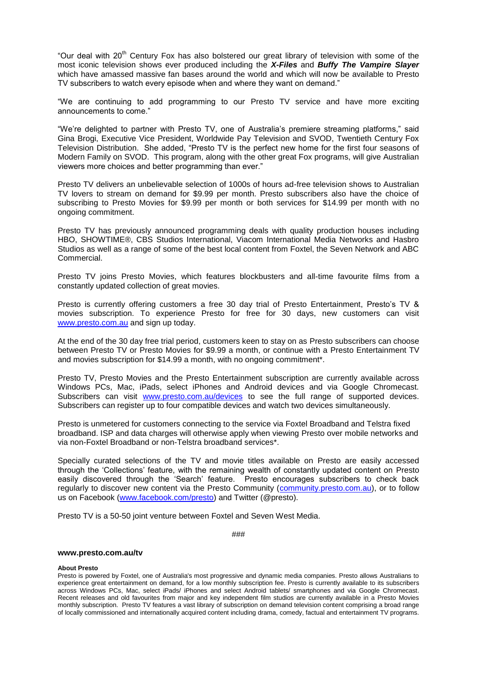"Our deal with 20<sup>th</sup> Century Fox has also bolstered our great library of television with some of the most iconic television shows ever produced including the *X-Files* and *Buffy The Vampire Slayer* which have amassed massive fan bases around the world and which will now be available to Presto TV subscribers to watch every episode when and where they want on demand."

"We are continuing to add programming to our Presto TV service and have more exciting announcements to come."

"We're delighted to partner with Presto TV, one of Australia's premiere streaming platforms," said Gina Brogi, Executive Vice President, Worldwide Pay Television and SVOD, Twentieth Century Fox Television Distribution. She added, "Presto TV is the perfect new home for the first four seasons of Modern Family on SVOD. This program, along with the other great Fox programs, will give Australian viewers more choices and better programming than ever."

Presto TV delivers an unbelievable selection of 1000s of hours ad-free television shows to Australian TV lovers to stream on demand for \$9.99 per month. Presto subscribers also have the choice of subscribing to Presto Movies for \$9.99 per month or both services for \$14.99 per month with no ongoing commitment.

Presto TV has previously announced programming deals with quality production houses including HBO, SHOWTIME®, CBS Studios International, Viacom International Media Networks and Hasbro Studios as well as a range of some of the best local content from Foxtel, the Seven Network and ABC Commercial.

Presto TV joins Presto Movies, which features blockbusters and all-time favourite films from a constantly updated collection of great movies.

Presto is currently offering customers a free 30 day trial of Presto Entertainment, Presto's TV & movies subscription. To experience Presto for free for 30 days, new customers can visit [www.presto.com.au](http://www.presto.com.au/) and sign up today.

At the end of the 30 day free trial period, customers keen to stay on as Presto subscribers can choose between Presto TV or Presto Movies for \$9.99 a month, or continue with a Presto Entertainment TV and movies subscription for \$14.99 a month, with no ongoing commitment\*.

Presto TV, Presto Movies and the Presto Entertainment subscription are currently available across Windows PCs, Mac, iPads, select iPhones and Android devices and via Google Chromecast. Subscribers can visit [www.presto.com.au/devices](http://www.presto.com.au/devices) to see the full range of supported devices. Subscribers can register up to four compatible devices and watch two devices simultaneously.

Presto is unmetered for customers connecting to the service via Foxtel Broadband and Telstra fixed broadband. ISP and data charges will otherwise apply when viewing Presto over mobile networks and via non-Foxtel Broadband or non-Telstra broadband services\*.

Specially curated selections of the TV and movie titles available on Presto are easily accessed through the 'Collections' feature, with the remaining wealth of constantly updated content on Presto easily discovered through the 'Search' feature. Presto encourages subscribers to check back regularly to discover new content via the Presto Community [\(community.presto.com.au\)](http://community.presto.com.au/), or to follow us on Facebook [\(www.facebook.com/presto\)](http://www.facebook.com/presto) and Twitter (@presto).

Presto TV is a 50-50 joint venture between Foxtel and Seven West Media.

###

## **www.presto.com.au/tv**

## **About Presto**

Presto is powered by Foxtel, one of Australia's most progressive and dynamic media companies. Presto allows Australians to experience great entertainment on demand, for a low monthly subscription fee. Presto is currently available to its subscribers across Windows PCs, Mac, select iPads/ iPhones and select Android tablets/ smartphones and via Google Chromecast. Recent releases and old favourites from major and key independent film studios are currently available in a Presto Movies monthly subscription. Presto TV features a vast library of subscription on demand television content comprising a broad range of locally commissioned and internationally acquired content including drama, comedy, factual and entertainment TV programs.